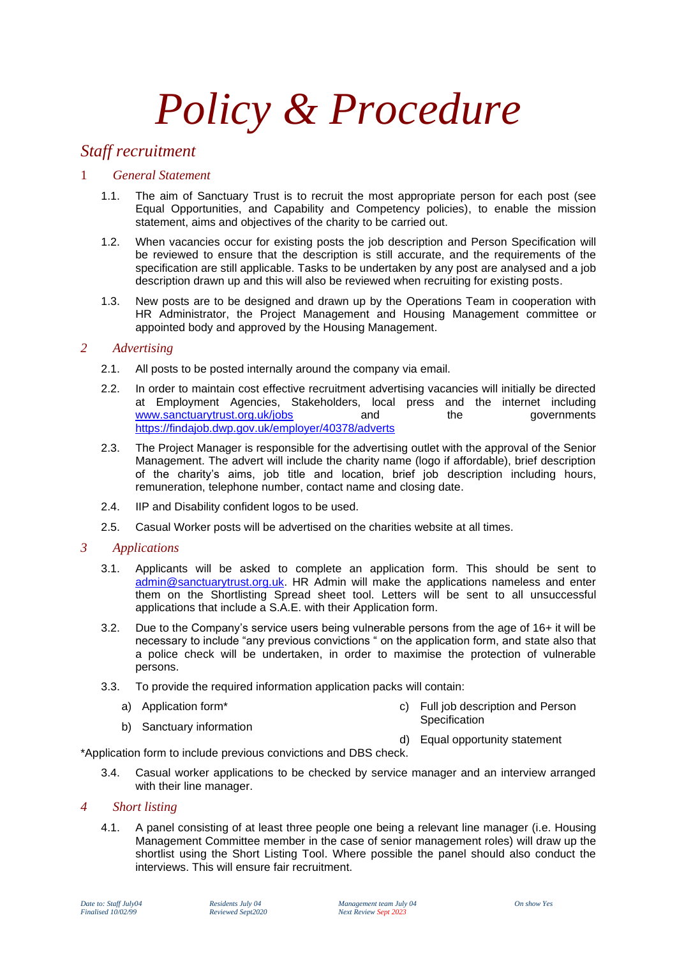# *Policy & Procedure*

# *Staff recruitment*

### 1 *General Statement*

- 1.1. The aim of Sanctuary Trust is to recruit the most appropriate person for each post (see Equal Opportunities, and Capability and Competency policies), to enable the mission statement, aims and objectives of the charity to be carried out.
- 1.2. When vacancies occur for existing posts the job description and Person Specification will be reviewed to ensure that the description is still accurate, and the requirements of the specification are still applicable. Tasks to be undertaken by any post are analysed and a job description drawn up and this will also be reviewed when recruiting for existing posts.
- 1.3. New posts are to be designed and drawn up by the Operations Team in cooperation with HR Administrator, the Project Management and Housing Management committee or appointed body and approved by the Housing Management.

#### *2 Advertising*

- 2.1. All posts to be posted internally around the company via email.
- 2.2. In order to maintain cost effective recruitment advertising vacancies will initially be directed at Employment Agencies, Stakeholders, local press and the internet including [www.sanctuarytrust.org.uk/jobs](http://www.sanctuarytrust.org.uk/jobs) and the governments <https://findajob.dwp.gov.uk/employer/40378/adverts>
- 2.3. The Project Manager is responsible for the advertising outlet with the approval of the Senior Management. The advert will include the charity name (logo if affordable), brief description of the charity's aims, job title and location, brief job description including hours, remuneration, telephone number, contact name and closing date.
- 2.4. IIP and Disability confident logos to be used.
- 2.5. Casual Worker posts will be advertised on the charities website at all times.

#### *3 Applications*

- 3.1. Applicants will be asked to complete an application form. This should be sent to [admin@sanctuarytrust.org.uk.](mailto:admin@sanctuarytrust.org.uk) HR Admin will make the applications nameless and enter them on the Shortlisting Spread sheet tool. Letters will be sent to all unsuccessful applications that include a S.A.E. with their Application form.
- 3.2. Due to the Company's service users being vulnerable persons from the age of 16+ it will be necessary to include "any previous convictions " on the application form, and state also that a police check will be undertaken, in order to maximise the protection of vulnerable persons.
- 3.3. To provide the required information application packs will contain:
	- a) Application form\*

c) Full job description and Person **Specification** 

b) Sanctuary information

d) Equal opportunity statement

\*Application form to include previous convictions and DBS check.

3.4. Casual worker applications to be checked by service manager and an interview arranged with their line manager.

#### *4 Short listing*

4.1. A panel consisting of at least three people one being a relevant line manager (i.e. Housing Management Committee member in the case of senior management roles) will draw up the shortlist using the Short Listing Tool. Where possible the panel should also conduct the interviews. This will ensure fair recruitment.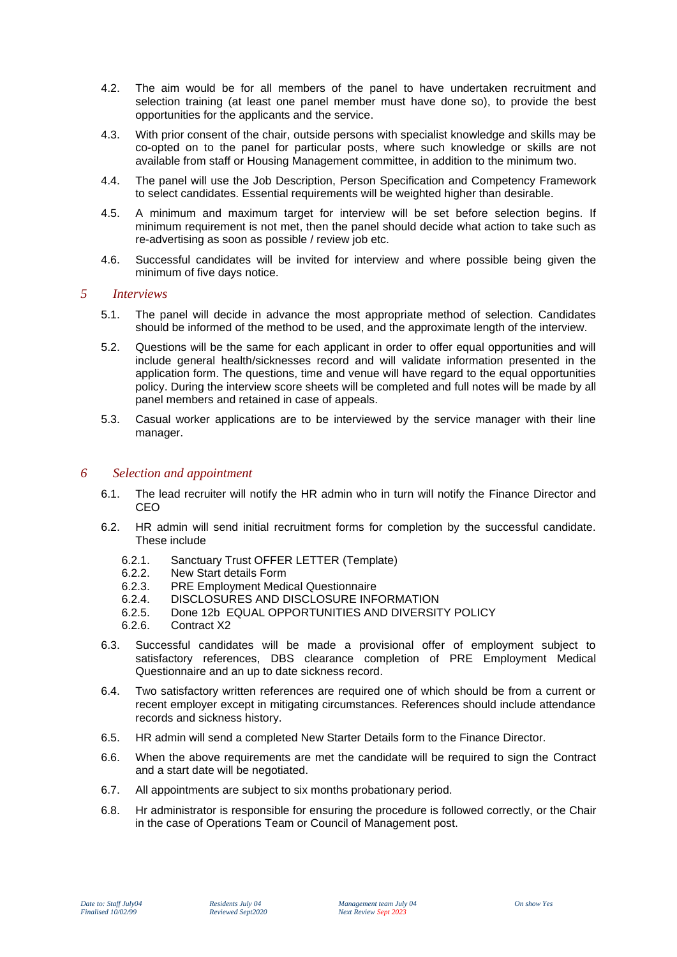- 4.2. The aim would be for all members of the panel to have undertaken recruitment and selection training (at least one panel member must have done so), to provide the best opportunities for the applicants and the service.
- 4.3. With prior consent of the chair, outside persons with specialist knowledge and skills may be co-opted on to the panel for particular posts, where such knowledge or skills are not available from staff or Housing Management committee, in addition to the minimum two.
- 4.4. The panel will use the Job Description, Person Specification and Competency Framework to select candidates. Essential requirements will be weighted higher than desirable.
- 4.5. A minimum and maximum target for interview will be set before selection begins. If minimum requirement is not met, then the panel should decide what action to take such as re-advertising as soon as possible / review job etc.
- 4.6. Successful candidates will be invited for interview and where possible being given the minimum of five days notice.

#### *5 Interviews*

- 5.1. The panel will decide in advance the most appropriate method of selection. Candidates should be informed of the method to be used, and the approximate length of the interview.
- 5.2. Questions will be the same for each applicant in order to offer equal opportunities and will include general health/sicknesses record and will validate information presented in the application form. The questions, time and venue will have regard to the equal opportunities policy. During the interview score sheets will be completed and full notes will be made by all panel members and retained in case of appeals.
- 5.3. Casual worker applications are to be interviewed by the service manager with their line manager.

#### *6 Selection and appointment*

- 6.1. The lead recruiter will notify the HR admin who in turn will notify the Finance Director and CEO
- 6.2. HR admin will send initial recruitment forms for completion by the successful candidate. These include
	- 6.2.1. Sanctuary Trust OFFER LETTER (Template)<br>6.2.2. New Start details Form
	- New Start details Form
	- 6.2.3. PRE Employment Medical Questionnaire
	- 6.2.4. DISCLOSURES AND DISCLOSURE INFORMATION
	- 6.2.5. Done 12b EQUAL OPPORTUNITIES AND DIVERSITY POLICY
	- 6.2.6. Contract X2
- 6.3. Successful candidates will be made a provisional offer of employment subject to satisfactory references, DBS clearance completion of PRE Employment Medical Questionnaire and an up to date sickness record.
- 6.4. Two satisfactory written references are required one of which should be from a current or recent employer except in mitigating circumstances. References should include attendance records and sickness history.
- 6.5. HR admin will send a completed New Starter Details form to the Finance Director.
- 6.6. When the above requirements are met the candidate will be required to sign the Contract and a start date will be negotiated.
- 6.7. All appointments are subject to six months probationary period.
- 6.8. Hr administrator is responsible for ensuring the procedure is followed correctly, or the Chair in the case of Operations Team or Council of Management post.